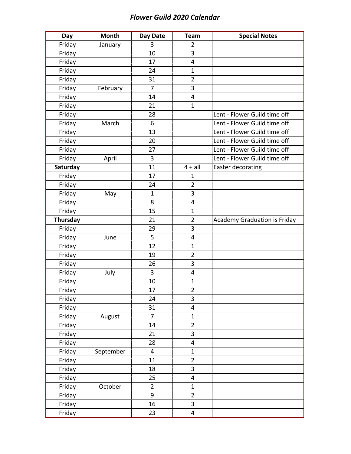## *Flower Guild 2020 Calendar*

| Day      | <b>Month</b> | Day Date       | <b>Team</b>             | <b>Special Notes</b>                |
|----------|--------------|----------------|-------------------------|-------------------------------------|
| Friday   | January      | 3              | $\overline{2}$          |                                     |
| Friday   |              | 10             | 3                       |                                     |
| Friday   |              | 17             | 4                       |                                     |
| Friday   |              | 24             | $\mathbf{1}$            |                                     |
| Friday   |              | 31             | $\overline{2}$          |                                     |
| Friday   | February     | $\overline{7}$ | 3                       |                                     |
| Friday   |              | 14             | 4                       |                                     |
| Friday   |              | 21             | $\mathbf{1}$            |                                     |
| Friday   |              | 28             |                         | Lent - Flower Guild time off        |
| Friday   | March        | 6              |                         | Lent - Flower Guild time off        |
| Friday   |              | 13             |                         | Lent - Flower Guild time off        |
| Friday   |              | 20             |                         | Lent - Flower Guild time off        |
| Friday   |              | 27             |                         | Lent - Flower Guild time off        |
| Friday   | April        | 3              |                         | Lent - Flower Guild time off        |
| Saturday |              | 11             | $4 + all$               | Easter decorating                   |
| Friday   |              | 17             | $\mathbf{1}$            |                                     |
| Friday   |              | 24             | $\overline{2}$          |                                     |
| Friday   | May          | $\mathbf{1}$   | 3                       |                                     |
| Friday   |              | 8              | 4                       |                                     |
| Friday   |              | 15             | $\mathbf{1}$            |                                     |
| Thursday |              | 21             | $\overline{2}$          | <b>Academy Graduation is Friday</b> |
| Friday   |              | 29             | 3                       |                                     |
| Friday   | June         | 5              | 4                       |                                     |
| Friday   |              | 12             | $\mathbf{1}$            |                                     |
| Friday   |              | 19             | $\overline{2}$          |                                     |
| Friday   |              | 26             | 3                       |                                     |
| Friday   | July         | 3              | 4                       |                                     |
| Friday   |              | 10             | $\mathbf{1}$            |                                     |
| Friday   |              | 17             | 2                       |                                     |
| Friday   |              | 24             | 3                       |                                     |
| Friday   |              | 31             | $\overline{\mathbf{4}}$ |                                     |
| Friday   | August       | $\overline{7}$ | $\mathbf{1}$            |                                     |
| Friday   |              | 14             | $\overline{2}$          |                                     |
| Friday   |              | 21             | 3                       |                                     |
| Friday   |              | 28             | 4                       |                                     |
| Friday   | September    | $\overline{4}$ | $\mathbf{1}$            |                                     |
| Friday   |              | 11             | $\overline{2}$          |                                     |
| Friday   |              | 18             | 3                       |                                     |
| Friday   |              | 25             | 4                       |                                     |
| Friday   | October      | $\overline{2}$ | $\mathbf{1}$            |                                     |
| Friday   |              | 9              | $\overline{2}$          |                                     |
| Friday   |              | 16             | 3                       |                                     |
| Friday   |              | 23             | 4                       |                                     |